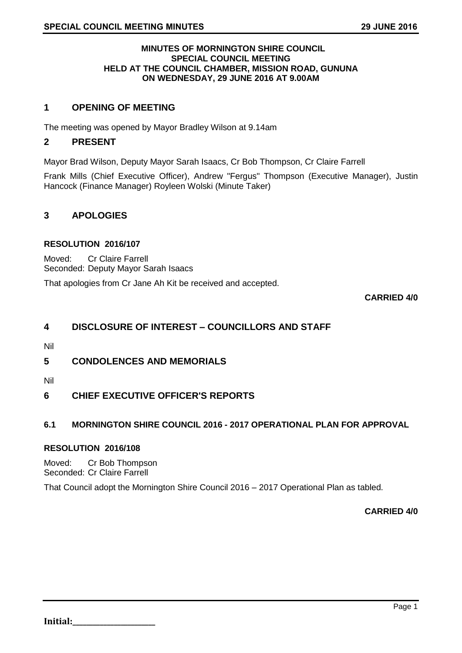#### **MINUTES OF MORNINGTON SHIRE COUNCIL SPECIAL COUNCIL MEETING HELD AT THE COUNCIL CHAMBER, MISSION ROAD, GUNUNA ON WEDNESDAY, 29 JUNE 2016 AT 9.00AM**

# **1 OPENING OF MEETING**

The meeting was opened by Mayor Bradley Wilson at 9.14am

### **2 PRESENT**

Mayor Brad Wilson, Deputy Mayor Sarah Isaacs, Cr Bob Thompson, Cr Claire Farrell

Frank Mills (Chief Executive Officer), Andrew "Fergus" Thompson (Executive Manager), Justin Hancock (Finance Manager) Royleen Wolski (Minute Taker)

# **3 APOLOGIES**

#### **RESOLUTION 2016/107**

Moved: Cr Claire Farrell Seconded: Deputy Mayor Sarah Isaacs

That apologies from Cr Jane Ah Kit be received and accepted.

**CARRIED 4/0**

# **4 DISCLOSURE OF INTEREST – COUNCILLORS AND STAFF**

Nil

# **5 CONDOLENCES AND MEMORIALS**

Nil

# **6 CHIEF EXECUTIVE OFFICER'S REPORTS**

## **6.1 MORNINGTON SHIRE COUNCIL 2016 - 2017 OPERATIONAL PLAN FOR APPROVAL**

#### **RESOLUTION 2016/108**

Moved: Cr Bob Thompson Seconded: Cr Claire Farrell

That Council adopt the Mornington Shire Council 2016 – 2017 Operational Plan as tabled.

**CARRIED 4/0**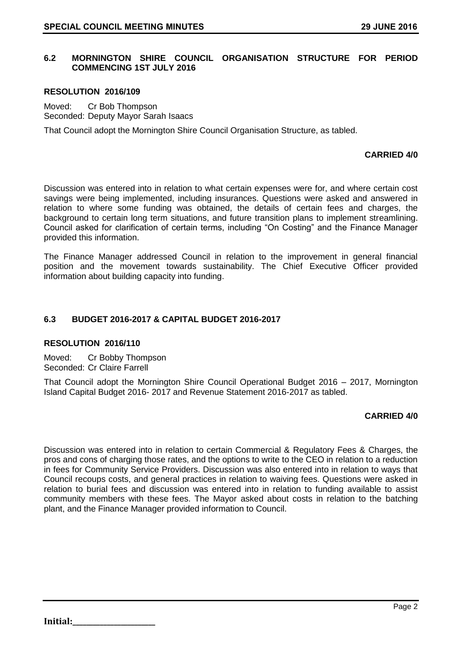## **6.2 MORNINGTON SHIRE COUNCIL ORGANISATION STRUCTURE FOR PERIOD COMMENCING 1ST JULY 2016**

#### **RESOLUTION 2016/109**

Moved: Cr Bob Thompson Seconded: Deputy Mayor Sarah Isaacs

That Council adopt the Mornington Shire Council Organisation Structure, as tabled.

### **CARRIED 4/0**

Discussion was entered into in relation to what certain expenses were for, and where certain cost savings were being implemented, including insurances. Questions were asked and answered in relation to where some funding was obtained, the details of certain fees and charges, the background to certain long term situations, and future transition plans to implement streamlining. Council asked for clarification of certain terms, including "On Costing" and the Finance Manager provided this information.

The Finance Manager addressed Council in relation to the improvement in general financial position and the movement towards sustainability. The Chief Executive Officer provided information about building capacity into funding.

#### **6.3 BUDGET 2016-2017 & CAPITAL BUDGET 2016-2017**

#### **RESOLUTION 2016/110**

Moved: Cr Bobby Thompson Seconded: Cr Claire Farrell

That Council adopt the Mornington Shire Council Operational Budget 2016 – 2017, Mornington Island Capital Budget 2016- 2017 and Revenue Statement 2016-2017 as tabled.

#### **CARRIED 4/0**

Discussion was entered into in relation to certain Commercial & Regulatory Fees & Charges, the pros and cons of charging those rates, and the options to write to the CEO in relation to a reduction in fees for Community Service Providers. Discussion was also entered into in relation to ways that Council recoups costs, and general practices in relation to waiving fees. Questions were asked in relation to burial fees and discussion was entered into in relation to funding available to assist community members with these fees. The Mayor asked about costs in relation to the batching plant, and the Finance Manager provided information to Council.

**Initial:**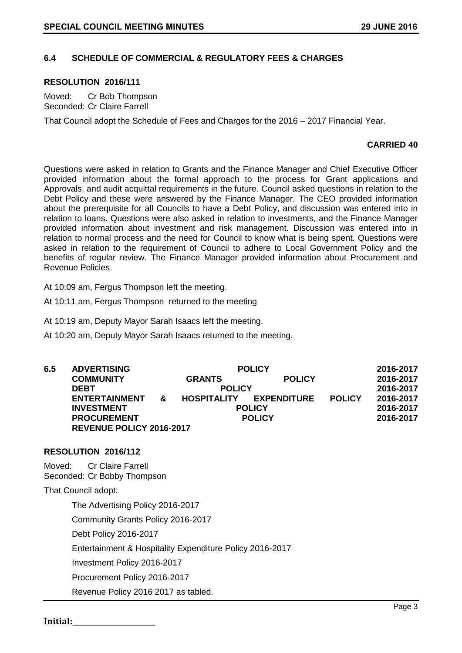## **6.4 SCHEDULE OF COMMERCIAL & REGULATORY FEES & CHARGES**

#### **RESOLUTION 2016/111**

Moved: Cr Bob Thompson Seconded: Cr Claire Farrell

That Council adopt the Schedule of Fees and Charges for the 2016 – 2017 Financial Year.

#### **CARRIED 40**

Questions were asked in relation to Grants and the Finance Manager and Chief Executive Officer provided information about the formal approach to the process for Grant applications and Approvals, and audit acquittal requirements in the future. Council asked questions in relation to the Debt Policy and these were answered by the Finance Manager. The CEO provided information about the prerequisite for all Councils to have a Debt Policy, and discussion was entered into in relation to loans. Questions were also asked in relation to investments, and the Finance Manager provided information about investment and risk management. Discussion was entered into in relation to normal process and the need for Council to know what is being spent. Questions were asked in relation to the requirement of Council to adhere to Local Government Policy and the benefits of regular review. The Finance Manager provided information about Procurement and Revenue Policies.

At 10:09 am, Fergus Thompson left the meeting.

At 10:11 am, Fergus Thompson returned to the meeting

At 10:19 am, Deputy Mayor Sarah Isaacs left the meeting.

At 10:20 am, Deputy Mayor Sarah Isaacs returned to the meeting.

| 6.5 | <b>ADVERTISING</b>              |              | <b>POLICY</b>      |                    |               | 2016-2017 |
|-----|---------------------------------|--------------|--------------------|--------------------|---------------|-----------|
|     | <b>COMMUNITY</b>                |              | <b>GRANTS</b>      | <b>POLICY</b>      |               | 2016-2017 |
|     | <b>DEBT</b>                     |              | <b>POLICY</b>      |                    | 2016-2017     |           |
|     | <b>ENTERTAINMENT</b>            | $\mathbf{x}$ | <b>HOSPITALITY</b> | <b>EXPENDITURE</b> | <b>POLICY</b> | 2016-2017 |
|     | <b>INVESTMENT</b>               |              | <b>POLICY</b>      |                    |               | 2016-2017 |
|     | <b>PROCUREMENT</b>              |              | <b>POLICY</b>      |                    |               | 2016-2017 |
|     | <b>REVENUE POLICY 2016-2017</b> |              |                    |                    |               |           |

#### **RESOLUTION 2016/112**

Moved: Cr Claire Farrell Seconded: Cr Bobby Thompson

That Council adopt:

The Advertising Policy 2016-2017

Community Grants Policy 2016-2017

Debt Policy 2016-2017

Entertainment & Hospitality Expenditure Policy 2016-2017

Investment Policy 2016-2017

Procurement Policy 2016-2017

Revenue Policy 2016 2017 as tabled.